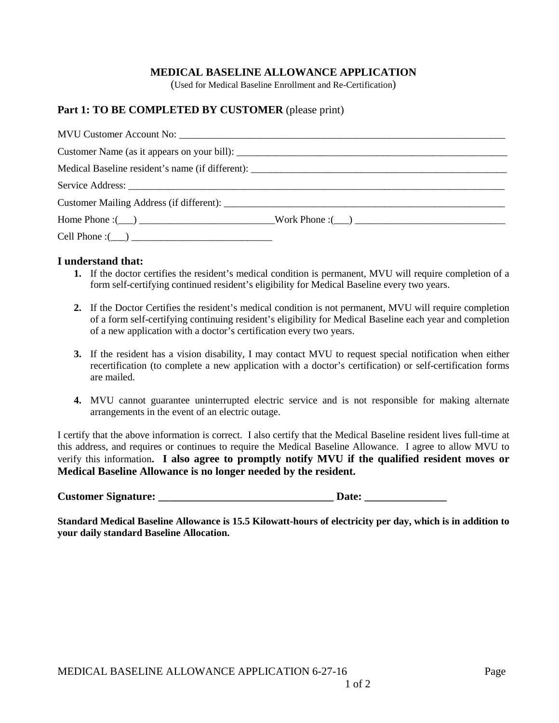# **MEDICAL BASELINE ALLOWANCE APPLICATION**

(Used for Medical Baseline Enrollment and Re-Certification)

## Part 1: TO BE COMPLETED BY CUSTOMER (please print)

| Cell Phone :( $\qquad \qquad$ ) |  |
|---------------------------------|--|

#### **I understand that:**

- **1.** If the doctor certifies the resident's medical condition is permanent, MVU will require completion of a form self-certifying continued resident's eligibility for Medical Baseline every two years.
- **2.** If the Doctor Certifies the resident's medical condition is not permanent, MVU will require completion of a form self-certifying continuing resident's eligibility for Medical Baseline each year and completion of a new application with a doctor's certification every two years.
- **3.** If the resident has a vision disability, I may contact MVU to request special notification when either recertification (to complete a new application with a doctor's certification) or self-certification forms are mailed.
- **4.** MVU cannot guarantee uninterrupted electric service and is not responsible for making alternate arrangements in the event of an electric outage.

I certify that the above information is correct. I also certify that the Medical Baseline resident lives full-time at this address, and requires or continues to require the Medical Baseline Allowance. I agree to allow MVU to verify this information**. I also agree to promptly notify MVU if the qualified resident moves or Medical Baseline Allowance is no longer needed by the resident.**

**Customer Signature: \_\_\_\_\_\_\_\_\_\_\_\_\_\_\_\_\_\_\_\_\_\_\_\_\_\_\_\_\_\_\_\_ Date: \_\_\_\_\_\_\_\_\_\_\_\_\_\_\_**

**Standard Medical Baseline Allowance is 15.5 Kilowatt-hours of electricity per day, which is in addition to your daily standard Baseline Allocation.**